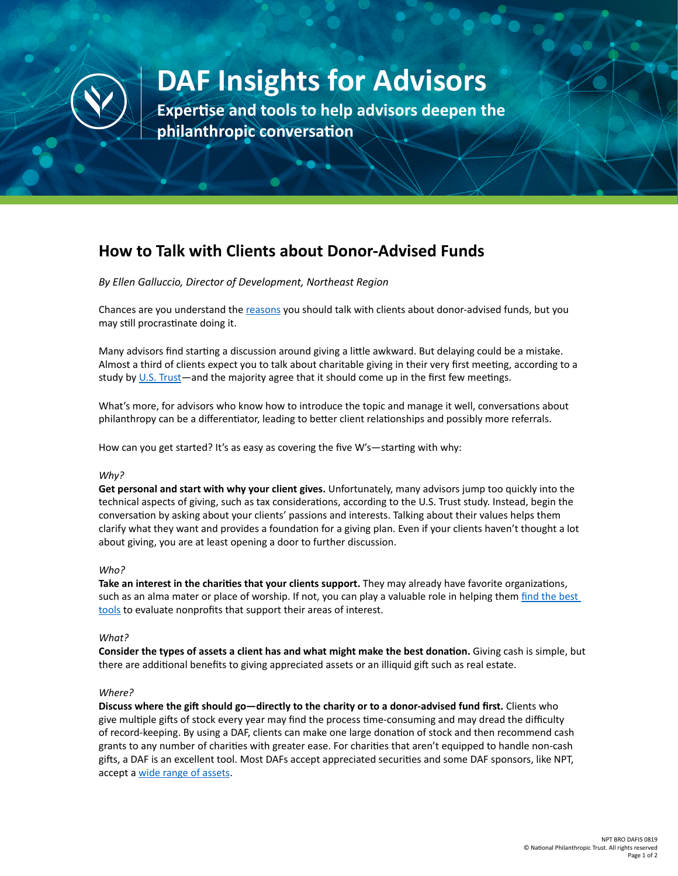

# **DAF Insights for Advisors**

**Expertise and tools to help advisors deepen the philanthropic conversation**

## **How to Talk with Clients about Donor-Advised Funds**

*By Ellen Galluccio, Director of Development, Northeast Region* 

Chances are you understand the [reasons](https://www.nptrust.org/philanthropic-resources/philanthropist/four-reasons-to-talk-to-clients-about-donor-advised-funds-2/) you should talk with clients about donor-advised funds, but you may still procrastinate doing it.

Many advisors find starting a discussion around giving a little awkward. But delaying could be a mistake. Almost a third of clients expect you to talk about charitable giving in their very first meeting, according to a study by [U.S. Trust—](https://www.tpi.org/sites/default/files/pdf/u.s._trust_study_of_the_philanthropic_conversation_-_2018_executive_summary.pdf)and the majority agree that it should come up in the first few meetings.

What's more, for advisors who know how to introduce the topic and manage it well, conversations about philanthropy can be a differentiator, leading to better client relationships and possibly more referrals.

How can you get started? It's as easy as covering the five W's—starting with why:

#### *Why?*

**Get personal and start with why your client gives.** Unfortunately, many advisors jump too quickly into the technical aspects of giving, such as tax considerations, according to the U.S. Trust study. Instead, begin the conversation by asking about your clients' passions and interests. Talking about their values helps them clarify what they want and provides a foundation for a giving plan. Even if your clients haven't thought a lot about giving, you are at least opening a door to further discussion.

#### *Who?*

**Take an interest in the charities that your clients support.** They may already have favorite organizations, such as an alma mater or place of worship. If not, you can play a valuable role in helping them find the best [tools](https://www.nptrust.org/philanthropic-resources/philanthropist/get-before-you-give-honing-your-charitable-strategy/) to evaluate nonprofits that support their areas of interest.

#### *What?*

**Consider the types of assets a client has and what might make the best donation.** Giving cash is simple, but there are additional benefits to giving appreciated assets or an illiquid gift such as real estate.

#### *Where?*

**Discuss where the gift should go—directly to the charity or to a donor-advised fund first.** Clients who give multiple gifts of stock every year may find the process time-consuming and may dread the difficulty of record-keeping. By using a DAF, clients can make one large donation of stock and then recommend cash grants to any number of charities with greater ease. For charities that aren't equipped to handle non-cash gifts, a DAF is an excellent tool. Most DAFs accept appreciated securities and some DAF sponsors, like NPT, accept a [wide range of assets.](https://www.nptrust.org/donor-advised-funds/)